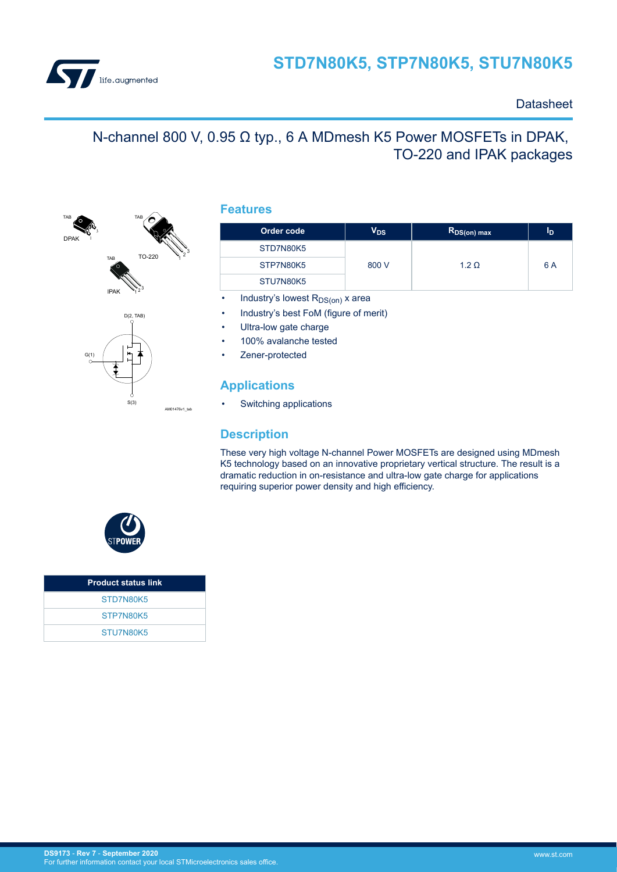

### **Datasheet**

# N-channel 800 V, 0.95 Ω typ., 6 A MDmesh K5 Power MOSFETs in DPAK, TO-220 and IPAK packages



### **Features**

| Order code | V <sub>DS</sub> | R <sub>DS(on)</sub> max | Iр  |
|------------|-----------------|-------------------------|-----|
| STD7N80K5  |                 |                         |     |
| STP7N80K5  | 800 V           | $1.2 \Omega$            | 6 A |
| STU7N80K5  |                 |                         |     |

- Industry's lowest  $R_{DS(on)}$  x area
- Industry's best FoM (figure of merit)
- Ultra-low gate charge
- 100% avalanche tested
- Zener-protected

### **Applications**

Switching applications

### **Description**

These very high voltage N-channel Power MOSFETs are designed using MDmesh K5 technology based on an innovative proprietary vertical structure. The result is a dramatic reduction in on-resistance and ultra-low gate charge for applications requiring superior power density and high efficiency.



| <b>Product status link</b> |  |
|----------------------------|--|
| STD7N80K5                  |  |
| STP7N80K5                  |  |
| STU7N80K5                  |  |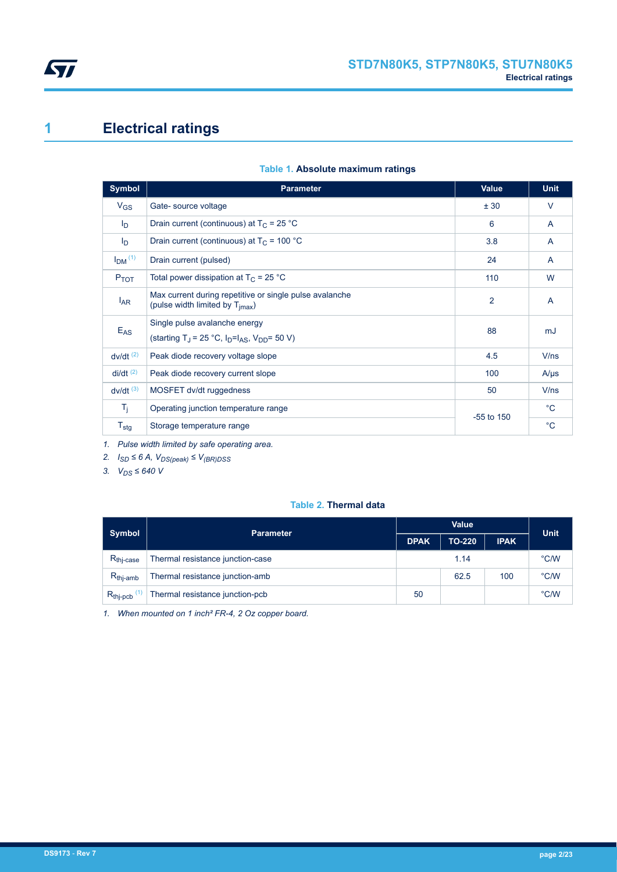<span id="page-1-0"></span>

# **1 Electrical ratings**

|  |  |  | Table 1. Absolute maximum ratings |  |
|--|--|--|-----------------------------------|--|
|--|--|--|-----------------------------------|--|

| <b>Symbol</b>             | <b>Parameter</b>                                                                                       | <b>Value</b>   | <b>Unit</b>    |
|---------------------------|--------------------------------------------------------------------------------------------------------|----------------|----------------|
| $V_{GS}$                  | Gate-source voltage                                                                                    | ± 30           | $\vee$         |
| $\mathsf{I}_{\mathsf{D}}$ | Drain current (continuous) at $T_C = 25 °C$                                                            | 6              | $\overline{A}$ |
| $I_{\text{D}}$            | Drain current (continuous) at $T_c$ = 100 °C                                                           | 3.8            | A              |
| $IDM$ <sup>(1)</sup>      | Drain current (pulsed)                                                                                 | 24             | $\mathsf{A}$   |
| $P_{TOT}$                 | Total power dissipation at $T_C = 25$ °C                                                               | 110            | W              |
| $I_{AR}$                  | Max current during repetitive or single pulse avalanche<br>(pulse width limited by T <sub>imax</sub> ) | 2              | $\overline{A}$ |
| $E_{AS}$                  | Single pulse avalanche energy<br>(starting T <sub>J</sub> = 25 °C, $ID=IAS$ , V <sub>DD</sub> = 50 V)  | 88             | mJ             |
| $dv/dt$ <sup>(2)</sup>    | Peak diode recovery voltage slope                                                                      | 4.5            | V/ns           |
| $di/dt$ <sup>(2)</sup>    | Peak diode recovery current slope                                                                      | 100            | $A/\mu s$      |
| $dv/dt$ <sup>(3)</sup>    | MOSFET dv/dt ruggedness                                                                                | 50             | V/ns           |
| $T_{\rm i}$               | Operating junction temperature range                                                                   | $-55$ to $150$ | $^{\circ}$ C   |
| $T_{\text{stg}}$          | Storage temperature range                                                                              |                | $^{\circ}$ C   |

*1. Pulse width limited by safe operating area.*

*2. ISD ≤ 6 A, VDS(peak) ≤ V(BR)DSS*

3.  $V_{DS}$  ≤ 640 V

### **Table 2. Thermal data**

| <b>Symbol</b>         | <b>Parameter</b>                 |             | <b>Unit</b> |             |      |
|-----------------------|----------------------------------|-------------|-------------|-------------|------|
|                       |                                  | <b>DPAK</b> | TO-220      | <b>IPAK</b> |      |
| $R_{\text{thi-case}}$ | Thermal resistance junction-case |             | 1.14        |             | °C/W |
| $R_{thi-amb}$         | Thermal resistance junction-amb  | 62.5<br>100 |             | °C/W        |      |
| $R_{thip, cbb}$       | Thermal resistance junction-pcb  | 50          |             | °C/W        |      |

*1. When mounted on 1 inch² FR-4, 2 Oz copper board.*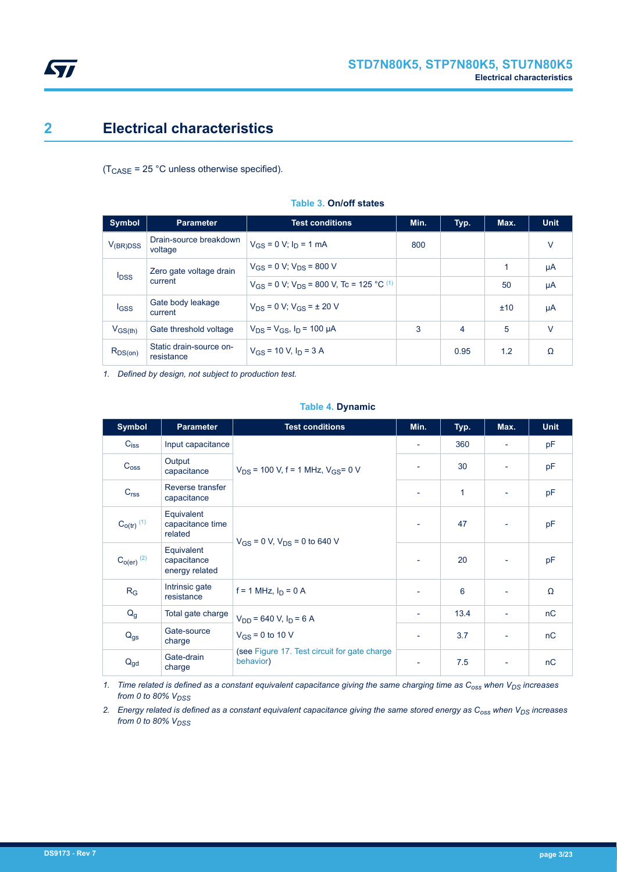

# **2 Electrical characteristics**

 $(T_{\text{CASE}} = 25 \text{ °C}$  unless otherwise specified).

| <b>Symbol</b>                      | <b>Parameter</b>                      | <b>Test conditions</b>                                       | Min. | Typ. | Max. | <b>Unit</b> |
|------------------------------------|---------------------------------------|--------------------------------------------------------------|------|------|------|-------------|
| $V_{(BR)DSS}$                      | Drain-source breakdown<br>voltage     | $V_{GS} = 0$ V; $I_D = 1$ mA                                 | 800  |      |      | $\vee$      |
|                                    | Zero gate voltage drain               | $V_{GS}$ = 0 V; $V_{DS}$ = 800 V                             |      |      | 1    | μA          |
| <b>I</b> <sub>DSS</sub><br>current |                                       | $V_{GS}$ = 0 V; $V_{DS}$ = 800 V, Tc = 125 °C <sup>(1)</sup> |      |      | 50   | μA          |
| <b>I</b> GSS                       | Gate body leakage<br>current          | $V_{DS} = 0 V$ ; $V_{GS} = \pm 20 V$                         |      |      | ±10  | μA          |
| $V_{GS(th)}$                       | Gate threshold voltage                | $V_{DS} = V_{GS}$ , $I_D = 100 \mu A$                        | 3    | 4    | 5    | $\vee$      |
| $R_{DS(on)}$                       | Static drain-source on-<br>resistance | $V_{GS}$ = 10 V, $I_D$ = 3 A                                 |      | 0.95 | 1.2  | Ω           |

#### **Table 3. On/off states**

*1. Defined by design, not subject to production test.*

#### **Table 4. Dynamic**

| <b>Symbol</b>              | <b>Parameter</b>                            | <b>Test conditions</b>                                     | Min.                     | Typ.         | Max.                     | <b>Unit</b> |
|----------------------------|---------------------------------------------|------------------------------------------------------------|--------------------------|--------------|--------------------------|-------------|
| $C_{iss}$                  | Input capacitance                           |                                                            | $\overline{\phantom{a}}$ | 360          | $\overline{\phantom{a}}$ | pF          |
| C <sub>oss</sub>           | Output<br>capacitance                       | $V_{DS}$ = 100 V, f = 1 MHz, $V_{GS}$ = 0 V                |                          | 30           |                          | pF          |
| C <sub>rss</sub>           | Reverse transfer<br>capacitance             |                                                            |                          | $\mathbf{1}$ | -                        | pF          |
| $C_{O(tr)}$ <sup>(1)</sup> | Equivalent<br>capacitance time<br>related   | $V_{GS}$ = 0 V, $V_{DS}$ = 0 to 640 V                      |                          | 47           | $\overline{\phantom{a}}$ | pF          |
| $C_{O(er)}$ $(2)$          | Equivalent<br>capacitance<br>energy related |                                                            |                          | 20           |                          | pF          |
| $R_G$                      | Intrinsic gate<br>resistance                | $f = 1$ MHz, $I_D = 0$ A                                   |                          | 6            |                          | Ω           |
| $Q_g$                      | Total gate charge                           | $V_{DD}$ = 640 V, $I_D$ = 6 A                              | $\overline{\phantom{a}}$ | 13.4         | $\overline{\phantom{a}}$ | nC          |
| $Q_{gs}$                   | Gate-source<br>charge                       | $V_{GS}$ = 0 to 10 V                                       | $\overline{\phantom{a}}$ | 3.7          | $\overline{\phantom{a}}$ | nC          |
| $Q_{gd}$                   | Gate-drain<br>charge                        | (see Figure 17. Test circuit for gate charge)<br>behavior) | $\overline{\phantom{a}}$ | 7.5          | ٠                        | nC          |

*1. Time related is defined as a constant equivalent capacitance giving the same charging time as Coss when VDS increases from 0 to 80% VDSS*

*2. Energy related is defined as a constant equivalent capacitance giving the same stored energy as Coss when VDS increases from 0 to 80% V<sub>DSS</sub>* 

<span id="page-2-0"></span>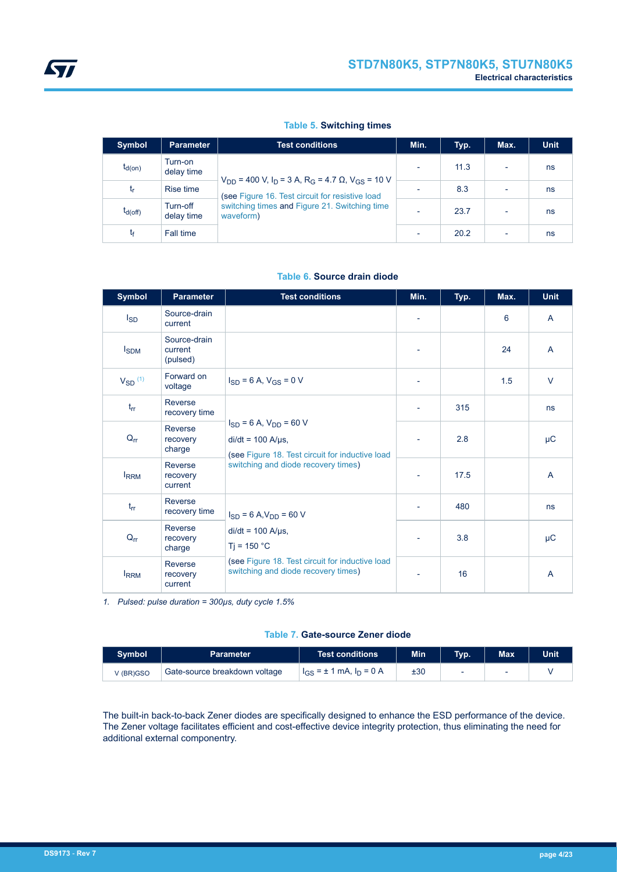#### **Table 5. Switching times**

| <b>Symbol</b> | <b>Parameter</b>       | <b>Test conditions</b>                                                                                        | Min.                     | Typ. | Max.                     | <b>Unit</b> |
|---------------|------------------------|---------------------------------------------------------------------------------------------------------------|--------------------------|------|--------------------------|-------------|
| $t_{d(on)}$   | Turn-on<br>delay time  | $V_{DD}$ = 400 V, $I_D$ = 3 A, R <sub>G</sub> = 4.7 $\Omega$ , V <sub>GS</sub> = 10 V                         | ٠                        | 11.3 | $\overline{\phantom{a}}$ | ns          |
| t,            | Rise time              | (see Figure 16. Test circuit for resistive load<br>switching times and Figure 21. Switching time<br>waveform) |                          | 8.3  | $\overline{\phantom{a}}$ | ns          |
| $t_{d(Off)}$  | Turn-off<br>delay time |                                                                                                               | $\overline{\phantom{0}}$ | 23.7 | $\overline{\phantom{a}}$ | ns          |
| t۴            | Fall time              |                                                                                                               | $\overline{\phantom{0}}$ | 20.2 | $\overline{\phantom{0}}$ | ns          |

| <b>Symbol</b> | <b>Parameter</b>                    | <b>Test conditions</b>                                                                                                                                 | Min.                     | Typ. | Max. | <b>Unit</b>    |
|---------------|-------------------------------------|--------------------------------------------------------------------------------------------------------------------------------------------------------|--------------------------|------|------|----------------|
| $I_{SD}$      | Source-drain<br>current             |                                                                                                                                                        | $\overline{\phantom{a}}$ |      | 6    | A              |
| $I_{SDM}$     | Source-drain<br>current<br>(pulsed) |                                                                                                                                                        |                          |      | 24   | $\overline{A}$ |
| $V_{SD}$ (1)  | Forward on<br>voltage               | $I_{SD} = 6$ A, $V_{GS} = 0$ V                                                                                                                         | -                        |      | 1.5  | $\vee$         |
| $t_{rr}$      | Reverse<br>recovery time            |                                                                                                                                                        | $\overline{\phantom{a}}$ | 315  |      | ns             |
| $Q_{rr}$      | Reverse<br>recovery<br>charge       | $I_{SD} = 6$ A, $V_{DD} = 60$ V<br>$di/dt = 100$ A/ $\mu$ s,<br>(see Figure 18. Test circuit for inductive load<br>switching and diode recovery times) |                          | 2.8  |      | μC             |
| <b>IRRM</b>   | Reverse<br>recovery<br>current      |                                                                                                                                                        |                          | 17.5 |      | A              |
| $t_{rr}$      | Reverse<br>recovery time            | $I_{SD} = 6 A, V_{DD} = 60 V$                                                                                                                          | ٠                        | 480  |      | ns             |
| $Q_{rr}$      | Reverse<br>recovery<br>charge       | $di/dt = 100$ A/ $\mu$ s,<br>$Ti = 150 °C$<br>(see Figure 18. Test circuit for inductive load<br>switching and diode recovery times)                   | $\overline{\phantom{a}}$ | 3.8  |      | $\mu$ C        |
| <b>IRRM</b>   | Reverse<br>recovery<br>current      |                                                                                                                                                        | $\overline{a}$           | 16   |      | A              |

#### **Table 6. Source drain diode**

*1. Pulsed: pulse duration = 300µs, duty cycle 1.5%*

#### **Table 7. Gate-source Zener diode**

| <b>Symbol</b> | <b>Parameter</b>              | Test conditions                | <b>Min</b> | Tvp. | <b>Max</b> | <b>Unit</b> |
|---------------|-------------------------------|--------------------------------|------------|------|------------|-------------|
| V (BR)GSO     | Gate-source breakdown voltage | $I_{GS}$ = ± 1 mA, $I_D$ = 0 A | ±30        |      |            |             |

The built-in back-to-back Zener diodes are specifically designed to enhance the ESD performance of the device. The Zener voltage facilitates efficient and cost-effective device integrity protection, thus eliminating the need for additional external componentry.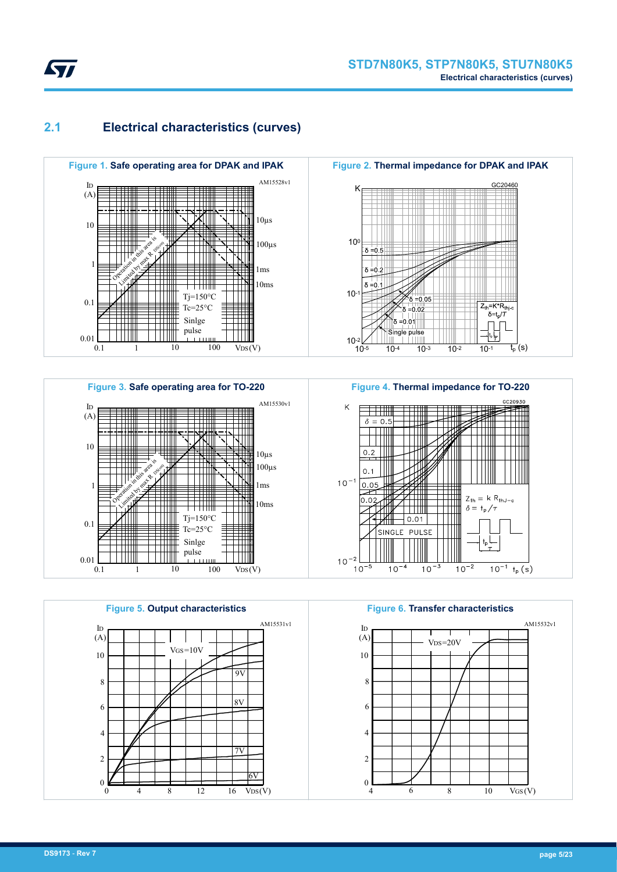<span id="page-4-0"></span>

## **2.1 Electrical characteristics (curves)**







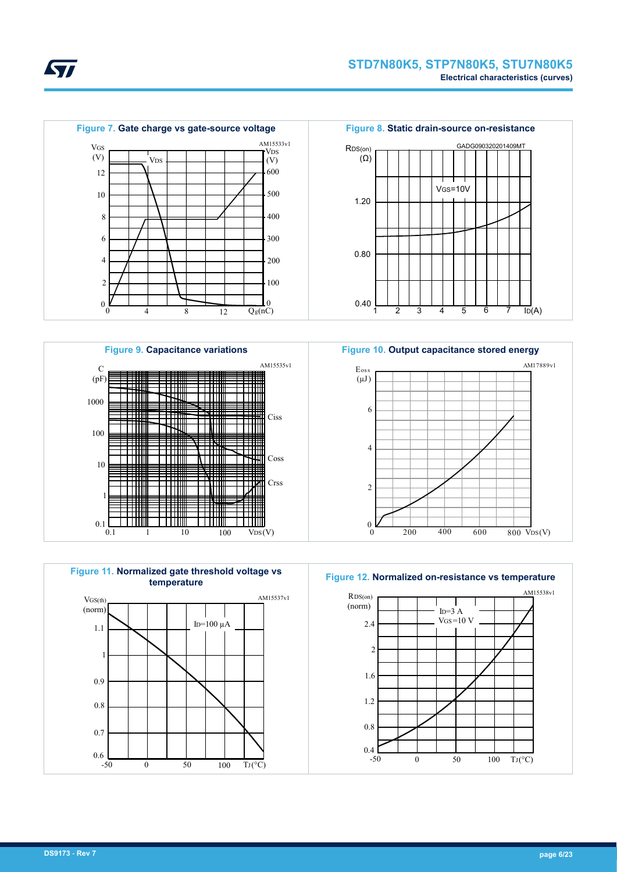













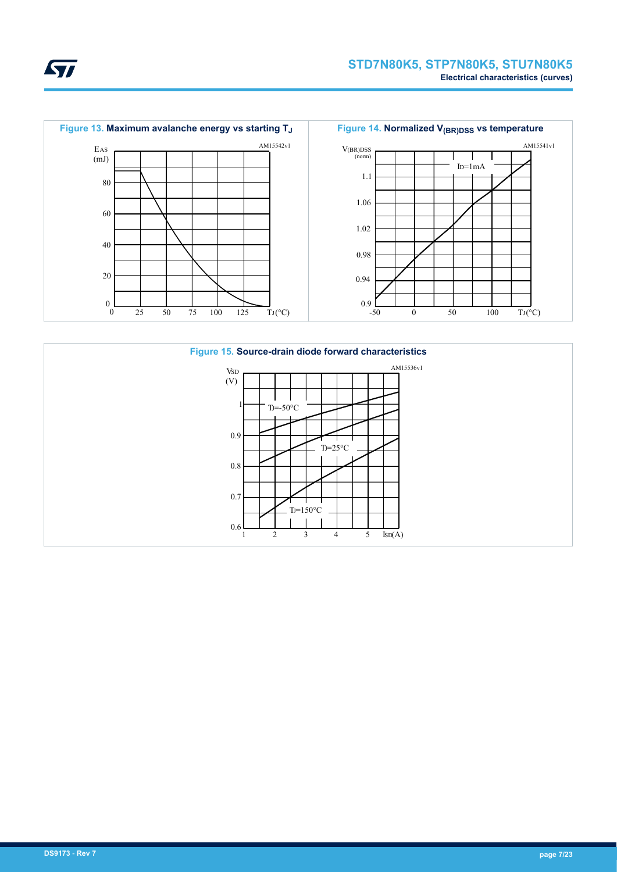



ST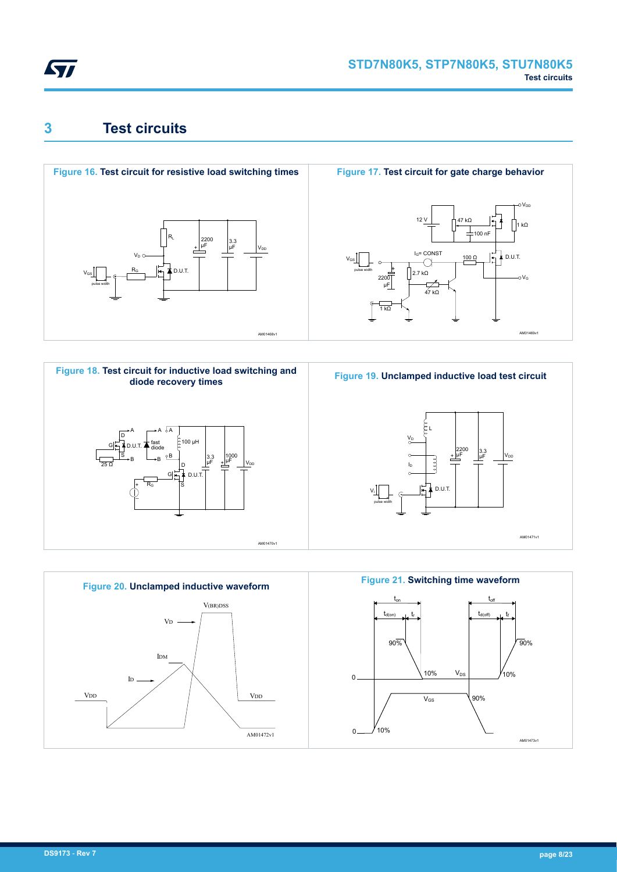<span id="page-7-0"></span>

# **3 Test circuits**











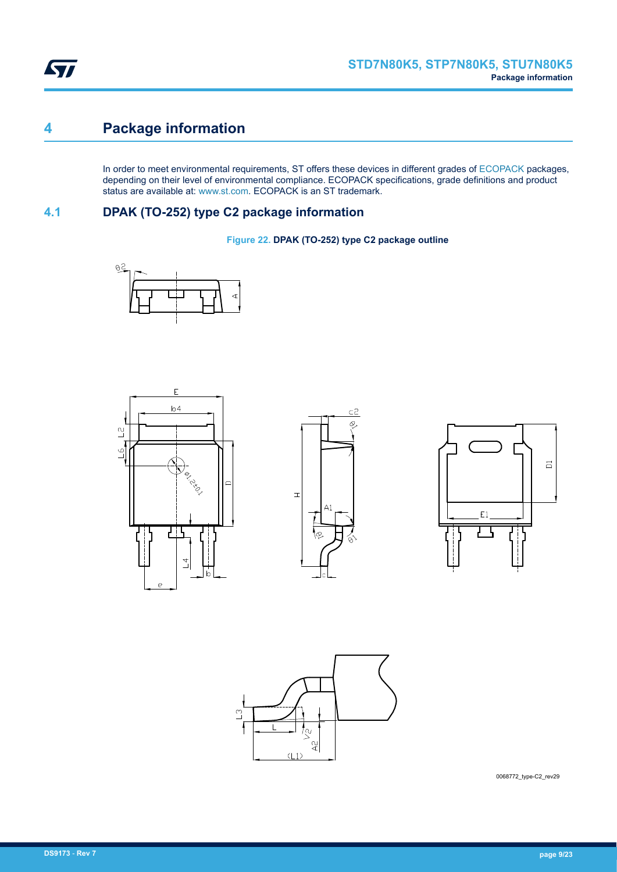<span id="page-8-0"></span>

# **4 Package information**

In order to meet environmental requirements, ST offers these devices in different grades of [ECOPACK](https://www.st.com/ecopack) packages, depending on their level of environmental compliance. ECOPACK specifications, grade definitions and product status are available at: [www.st.com.](http://www.st.com) ECOPACK is an ST trademark.

### **4.1 DPAK (TO-252) type C2 package information**

**Figure 22. DPAK (TO-252) type C2 package outline**











0068772\_type-C2\_rev29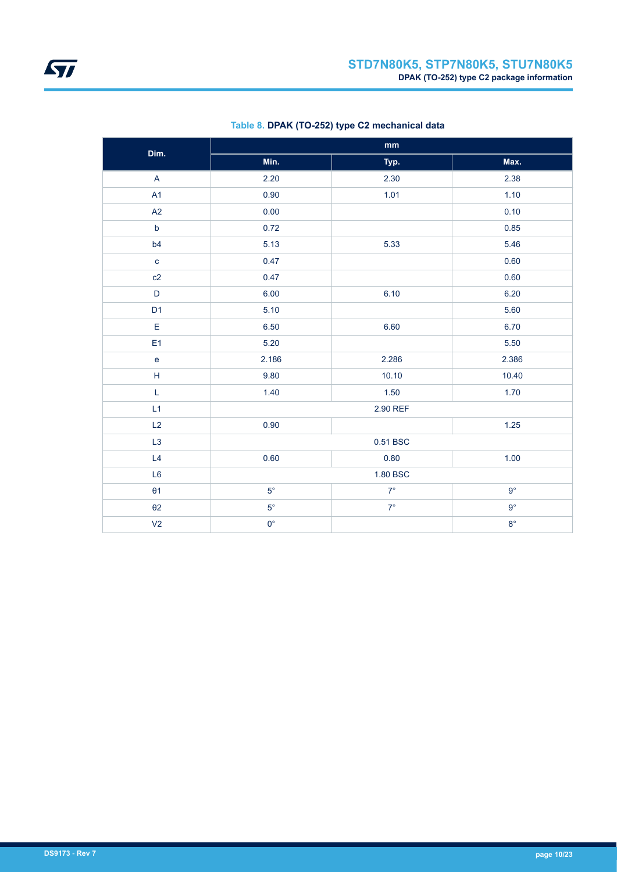| Dim.                              | $\mathop{\text{mm}}\nolimits$ |             |             |  |  |
|-----------------------------------|-------------------------------|-------------|-------------|--|--|
|                                   | Min.                          | Typ.        | Max.        |  |  |
| $\overline{A}$                    | 2.20                          | 2.30        | 2.38        |  |  |
| A1                                | 0.90                          | 1.01        | 1.10        |  |  |
| A2                                | 0.00                          |             | 0.10        |  |  |
| $\mathsf b$                       | 0.72                          |             | 0.85        |  |  |
| b4                                | 5.13                          | 5.33        | 5.46        |  |  |
| $\mathbf{C}$                      | 0.47                          |             | 0.60        |  |  |
| c2                                | 0.47                          |             | 0.60        |  |  |
| D                                 | 6.00                          | 6.10        | 6.20        |  |  |
| D <sub>1</sub>                    | 5.10                          |             | 5.60        |  |  |
| E                                 | 6.50                          | 6.60        | 6.70        |  |  |
| E <sub>1</sub>                    | 5.20                          |             | 5.50        |  |  |
| $\mathsf{e}% _{t}\left( t\right)$ | 2.186                         | 2.286       | 2.386       |  |  |
| $\mathsf H$                       | 9.80                          | 10.10       | 10.40       |  |  |
| L                                 | 1.40                          | 1.50        | 1.70        |  |  |
| L1                                |                               | 2.90 REF    |             |  |  |
| L2                                | 0.90                          |             | $1.25$      |  |  |
| L3                                |                               | 0.51 BSC    |             |  |  |
| L4                                | 0.60                          | 0.80        | 1.00        |  |  |
| L <sub>6</sub>                    | 1.80 BSC                      |             |             |  |  |
| $\theta$ 1                        | $5^{\circ}$                   | $7^{\circ}$ | $9^{\circ}$ |  |  |
| $\theta$ 2                        | $5^{\circ}$                   | $7^\circ$   | $9^{\circ}$ |  |  |
| V <sub>2</sub>                    | $0^{\circ}$                   |             | $8^{\circ}$ |  |  |

### **Table 8. DPAK (TO-252) type C2 mechanical data**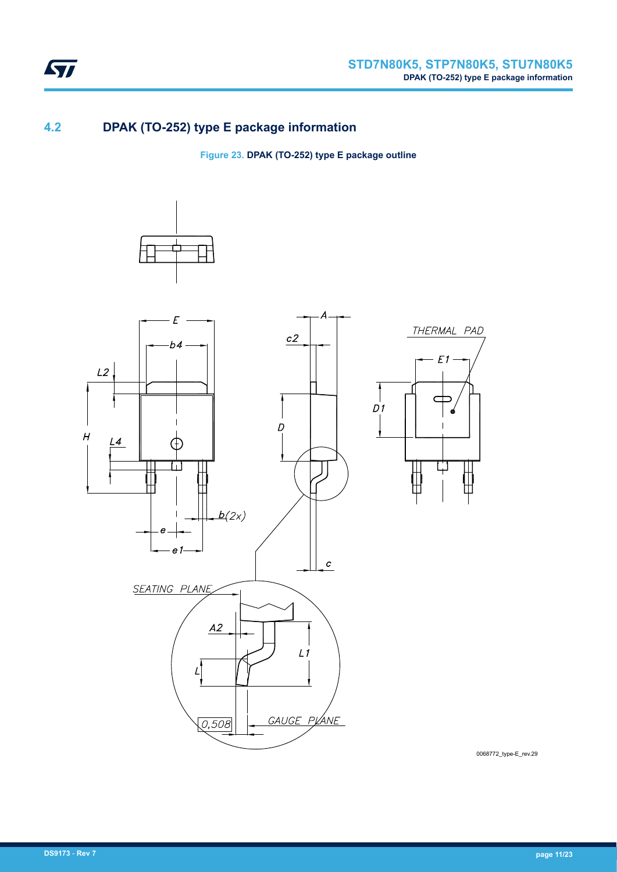<span id="page-10-0"></span>

### **4.2 DPAK (TO-252) type E package information**

**Figure 23. DPAK (TO-252) type E package outline**



0068772\_type-E\_rev.29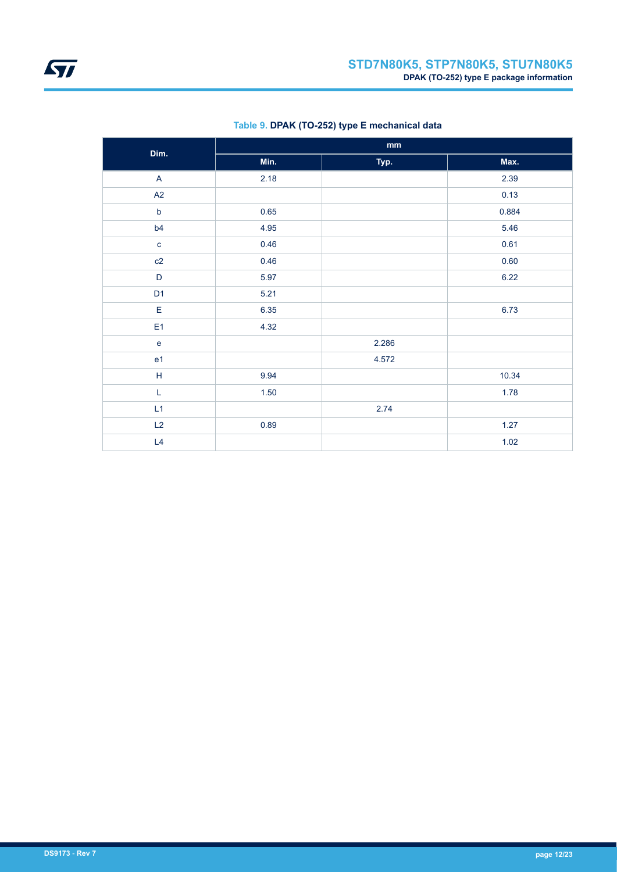| Dim.                              | $\mathop{\mathsf{mm}}\nolimits$ |       |       |  |  |  |
|-----------------------------------|---------------------------------|-------|-------|--|--|--|
|                                   | Min.                            | Typ.  | Max.  |  |  |  |
| $\mathsf{A}$                      | 2.18                            |       | 2.39  |  |  |  |
| A2                                |                                 |       | 0.13  |  |  |  |
| $\mathsf b$                       | 0.65                            |       | 0.884 |  |  |  |
| b4                                | 4.95                            |       | 5.46  |  |  |  |
| $\mathbf{c}$                      | 0.46                            |       | 0.61  |  |  |  |
| c2                                | 0.46                            |       | 0.60  |  |  |  |
| D                                 | 5.97                            |       | 6.22  |  |  |  |
| D <sub>1</sub>                    | 5.21                            |       |       |  |  |  |
| E                                 | 6.35                            |       | 6.73  |  |  |  |
| E <sub>1</sub>                    | 4.32                            |       |       |  |  |  |
| $\mathsf{e}% _{t}\left( t\right)$ |                                 | 2.286 |       |  |  |  |
| e <sub>1</sub>                    |                                 | 4.572 |       |  |  |  |
| H                                 | 9.94                            |       | 10.34 |  |  |  |
| L                                 | 1.50                            |       | 1.78  |  |  |  |
| L1                                |                                 | 2.74  |       |  |  |  |
| L2                                | 0.89                            |       | 1.27  |  |  |  |
| L4                                |                                 |       | 1.02  |  |  |  |

### **Table 9. DPAK (TO-252) type E mechanical data**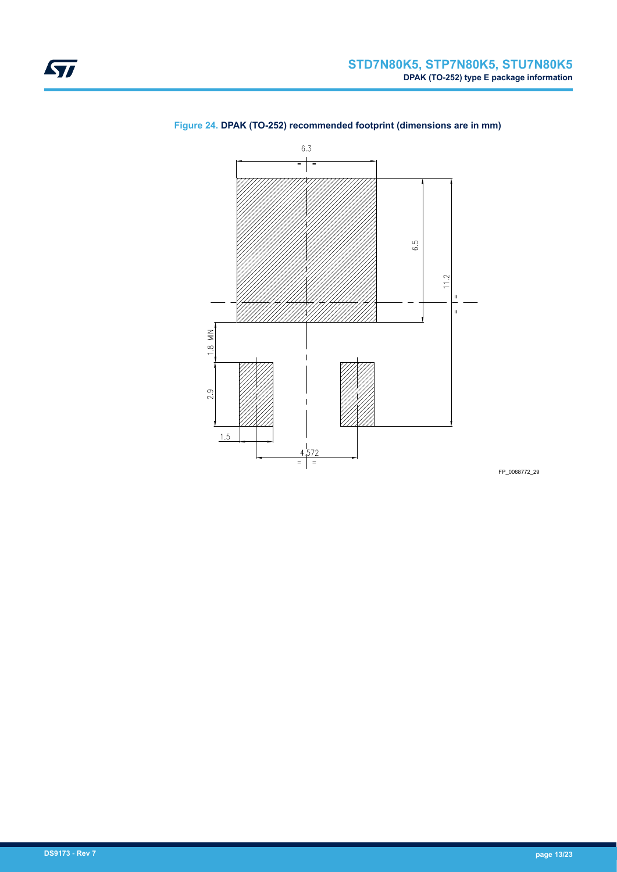

### **Figure 24. DPAK (TO-252) recommended footprint (dimensions are in mm)**

FP\_0068772\_29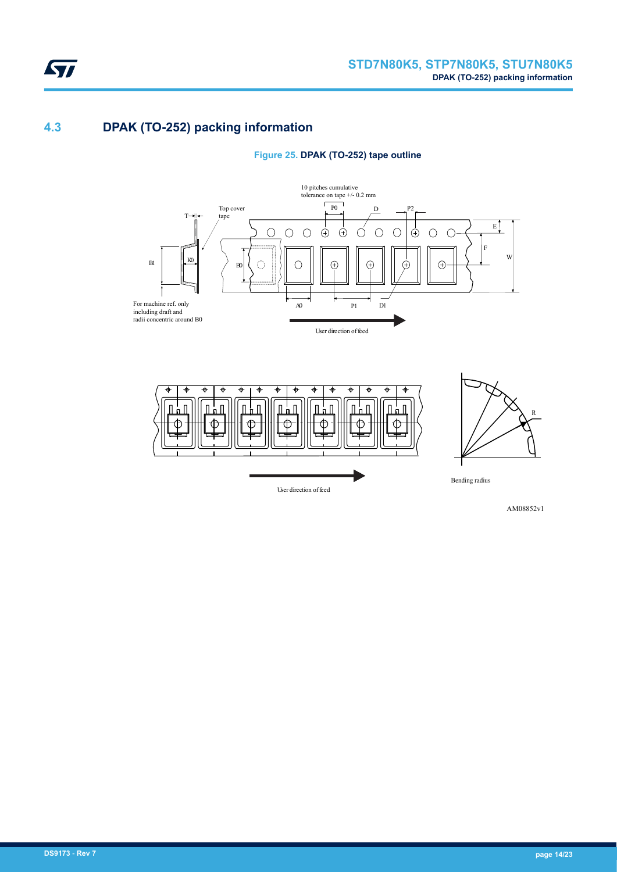### **4.3 DPAK (TO-252) packing information**

<span id="page-13-0"></span>ST

**Figure 25. DPAK (TO-252) tape outline**





AM08852v1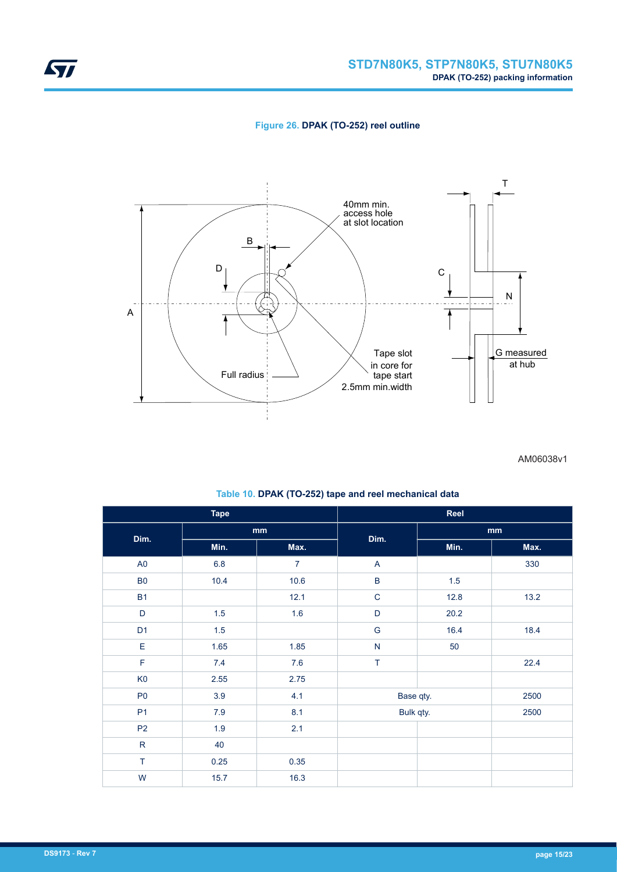**Figure 26. DPAK (TO-252) reel outline**



AM06038v1

| <b>Tape</b>    |         | Reel           |               |         |      |  |
|----------------|---------|----------------|---------------|---------|------|--|
| Dim.           | mm      |                |               |         | mm   |  |
|                | Min.    | Max.           | Dim.          | Min.    | Max. |  |
| A <sub>0</sub> | $6.8\,$ | $\overline{7}$ | A             |         | 330  |  |
| ${\sf B0}$     | 10.4    | 10.6           | B             | $1.5\,$ |      |  |
| <b>B1</b>      |         | 12.1           | $\mathbf C$   | 12.8    | 13.2 |  |
| $\mathsf D$    | 1.5     | 1.6            | $\mathsf D$   | 20.2    |      |  |
| D <sub>1</sub> | 1.5     |                | ${\mathsf G}$ | 16.4    | 18.4 |  |
| E              | 1.65    | 1.85           | ${\sf N}$     | 50      |      |  |
| $\mathsf F$    | 7.4     | 7.6            | T             |         | 22.4 |  |
| K <sub>0</sub> | 2.55    | 2.75           |               |         |      |  |
| P <sub>0</sub> | 3.9     | 4.1            | Base qty.     |         | 2500 |  |
| P <sub>1</sub> | $7.9$   | 8.1            | Bulk qty.     |         | 2500 |  |
| P <sub>2</sub> | 1.9     | 2.1            |               |         |      |  |
| ${\sf R}$      | 40      |                |               |         |      |  |
| $\top$         | 0.25    | 0.35           |               |         |      |  |
| W              | 15.7    | 16.3           |               |         |      |  |

#### **Table 10. DPAK (TO-252) tape and reel mechanical data**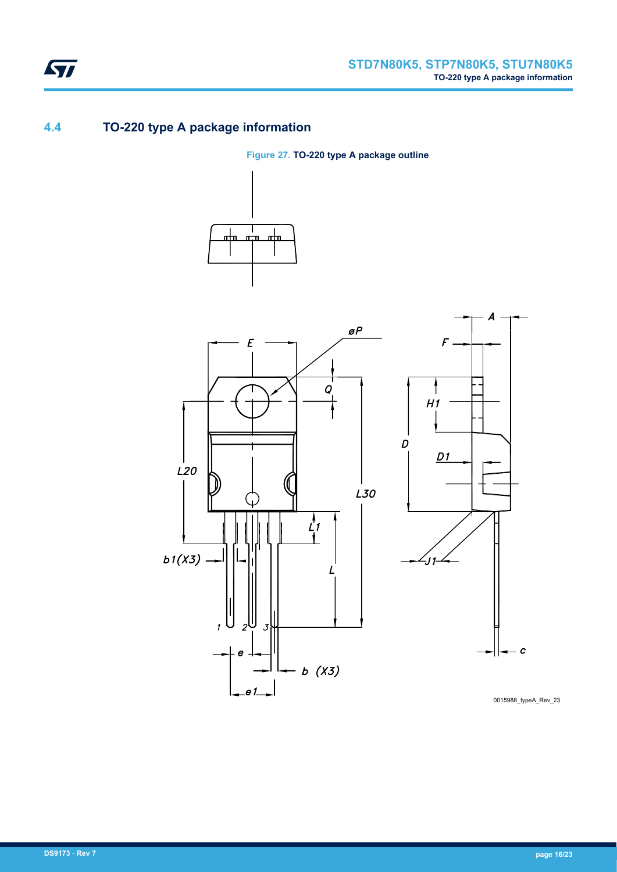## <span id="page-15-0"></span>**4.4 TO-220 type A package information**

### **Figure 27. TO-220 type A package outline**





0015988\_typeA\_Rev\_23

 $\boldsymbol{c}$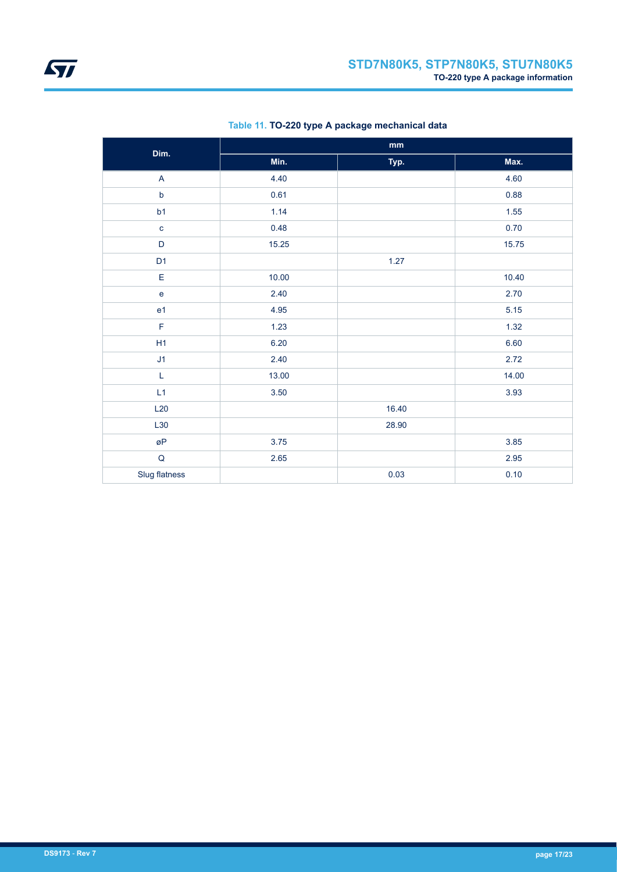| Dim.           | $\mathop{\text{mm}}\nolimits$ |       |       |  |
|----------------|-------------------------------|-------|-------|--|
|                | Min.                          | Typ.  | Max.  |  |
| $\mathsf{A}$   | 4.40                          |       | 4.60  |  |
| $\sf b$        | 0.61                          |       | 0.88  |  |
| b1             | 1.14                          |       | 1.55  |  |
| $\mathbf c$    | 0.48                          |       | 0.70  |  |
| $\mathsf D$    | 15.25                         |       | 15.75 |  |
| D <sub>1</sub> |                               | 1.27  |       |  |
| E              | 10.00                         |       | 10.40 |  |
| $\mathsf{e}$   | 2.40                          |       | 2.70  |  |
| e <sub>1</sub> | 4.95                          |       | 5.15  |  |
| F              | 1.23                          |       | 1.32  |  |
| H1             | 6.20                          |       | 6.60  |  |
| J1             | 2.40                          |       | 2.72  |  |
| L              | 13.00                         |       | 14.00 |  |
| L1             | 3.50                          |       | 3.93  |  |
| L20            |                               | 16.40 |       |  |
| L30            |                               | 28.90 |       |  |
| øΡ             | 3.75                          |       | 3.85  |  |
| $\sf Q$        | 2.65                          |       | 2.95  |  |
| Slug flatness  |                               | 0.03  | 0.10  |  |

### **Table 11. TO-220 type A package mechanical data**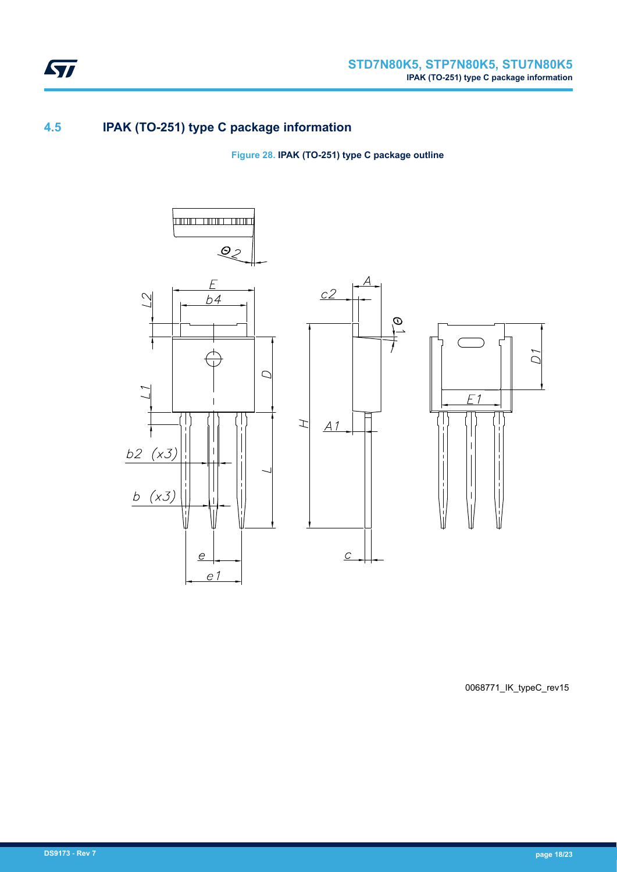<span id="page-17-0"></span>

## **4.5 IPAK (TO-251) type C package information**

**Figure 28. IPAK (TO-251) type C package outline**



0068771\_IK\_typeC\_rev15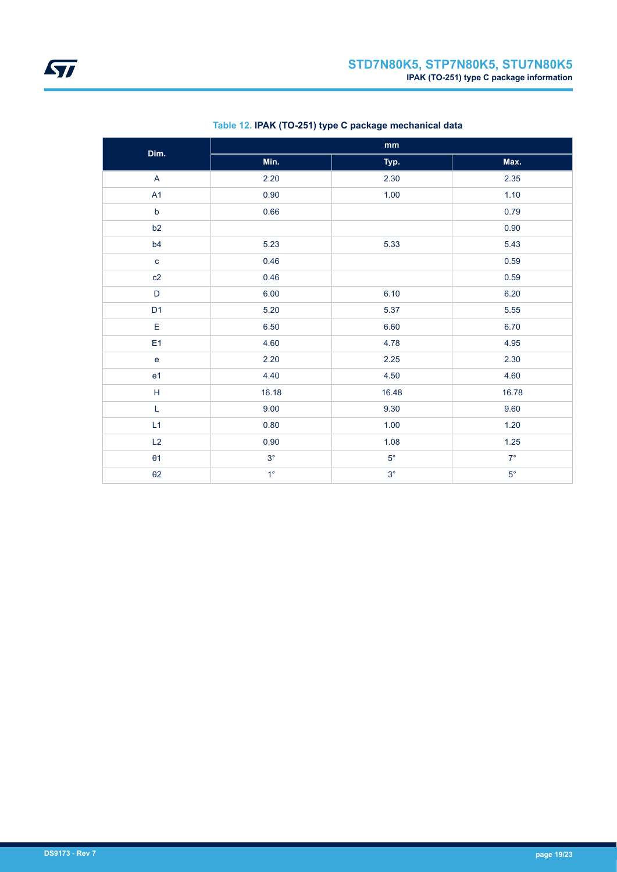| Dim.                    | $\mathop{\text{mm}}\nolimits$ |             |             |  |
|-------------------------|-------------------------------|-------------|-------------|--|
|                         | Min.                          | Typ.        | Max.        |  |
| $\overline{\mathsf{A}}$ | 2.20                          | 2.30        | 2.35        |  |
| A1                      | 0.90                          | 1.00        | 1.10        |  |
| $\mathsf b$             | 0.66                          |             | 0.79        |  |
| b2                      |                               |             | 0.90        |  |
| b4                      | 5.23                          | 5.33        | 5.43        |  |
| $\mathbf{C}$            | 0.46                          |             | 0.59        |  |
| c2                      | 0.46                          |             | 0.59        |  |
| $\mathsf D$             | 6.00                          | 6.10        | 6.20        |  |
| D <sub>1</sub>          | 5.20                          | 5.37        | 5.55        |  |
| $\mathsf E$             | 6.50                          | 6.60        | 6.70        |  |
| E <sub>1</sub>          | 4.60                          | 4.78        | 4.95        |  |
| $\mathbf{e}$            | 2.20                          | 2.25        | 2.30        |  |
| e <sub>1</sub>          | 4.40                          | 4.50        | 4.60        |  |
| $\mathsf H$             | 16.18                         | 16.48       | 16.78       |  |
| L                       | 9.00                          | 9.30        | 9.60        |  |
| L1                      | 0.80                          | 1.00        | 1.20        |  |
| L2                      | 0.90                          | 1.08        | $1.25$      |  |
| $\theta$ 1              | $3^\circ$                     | $5^{\circ}$ | $7^\circ$   |  |
| $\theta$ 2              | $1^{\circ}$                   | $3^{\circ}$ | $5^{\circ}$ |  |

### **Table 12. IPAK (TO-251) type C package mechanical data**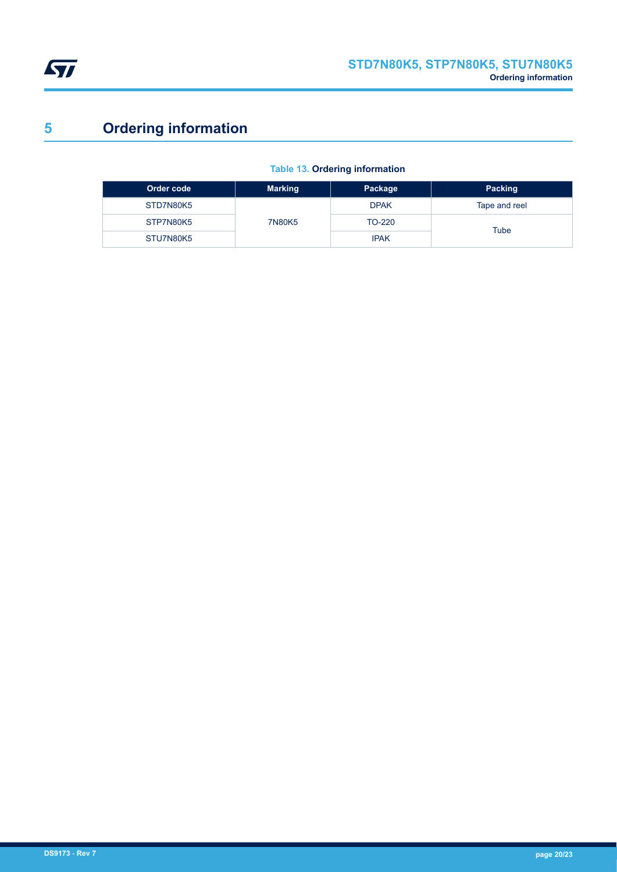<span id="page-19-0"></span>

# **5 Ordering information**

### **Table 13. Ordering information**

| Order code | <b>Marking</b> | Package     | Packing       |
|------------|----------------|-------------|---------------|
| STD7N80K5  | 7N80K5         | <b>DPAK</b> | Tape and reel |
| STP7N80K5  |                | TO-220      | Tube          |
| STU7N80K5  |                | <b>IPAK</b> |               |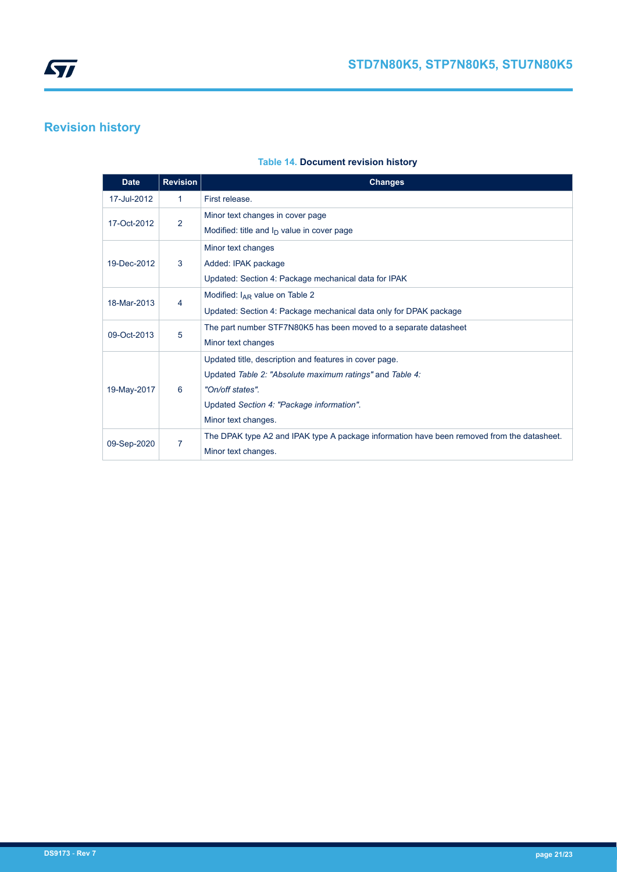<span id="page-20-0"></span>

## **Revision history**

#### **Table 14. Document revision history**

| <b>Date</b> | <b>Revision</b> | <b>Changes</b>                                                                                                                                                                                             |
|-------------|-----------------|------------------------------------------------------------------------------------------------------------------------------------------------------------------------------------------------------------|
| 17-Jul-2012 | 1               | First release.                                                                                                                                                                                             |
| 17-Oct-2012 | 2               | Minor text changes in cover page<br>Modified: title and $I_D$ value in cover page                                                                                                                          |
| 19-Dec-2012 | 3               | Minor text changes<br>Added: IPAK package<br>Updated: Section 4: Package mechanical data for IPAK                                                                                                          |
| 18-Mar-2013 | 4               | Modified: $I_{AR}$ value on Table 2<br>Updated: Section 4: Package mechanical data only for DPAK package                                                                                                   |
| 09-Oct-2013 | 5               | The part number STF7N80K5 has been moved to a separate datasheet<br>Minor text changes                                                                                                                     |
| 19-May-2017 | 6               | Updated title, description and features in cover page.<br>Updated Table 2: "Absolute maximum ratings" and Table 4:<br>"On/off states".<br>Updated Section 4: "Package information".<br>Minor text changes. |
| 09-Sep-2020 | 7               | The DPAK type A2 and IPAK type A package information have been removed from the datasheet.<br>Minor text changes.                                                                                          |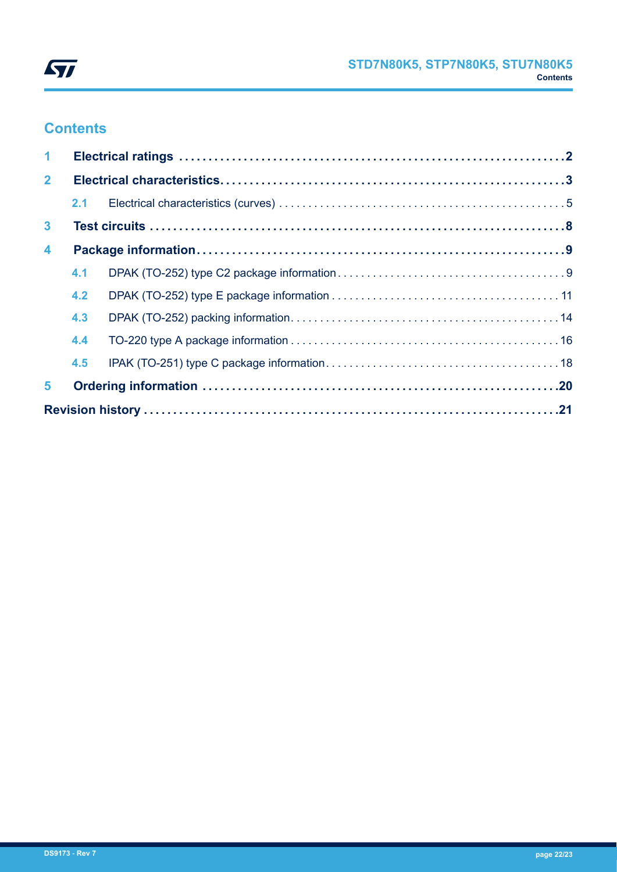

# **Contents**

| $\mathbf{1}$            |     |  |  |  |  |
|-------------------------|-----|--|--|--|--|
| $\overline{2}$          |     |  |  |  |  |
|                         |     |  |  |  |  |
| $\mathbf{3}$            |     |  |  |  |  |
| $\overline{\mathbf{4}}$ |     |  |  |  |  |
|                         | 4.1 |  |  |  |  |
|                         | 4.2 |  |  |  |  |
|                         | 4.3 |  |  |  |  |
|                         | 4.4 |  |  |  |  |
|                         | 4.5 |  |  |  |  |
| 5                       |     |  |  |  |  |
|                         |     |  |  |  |  |